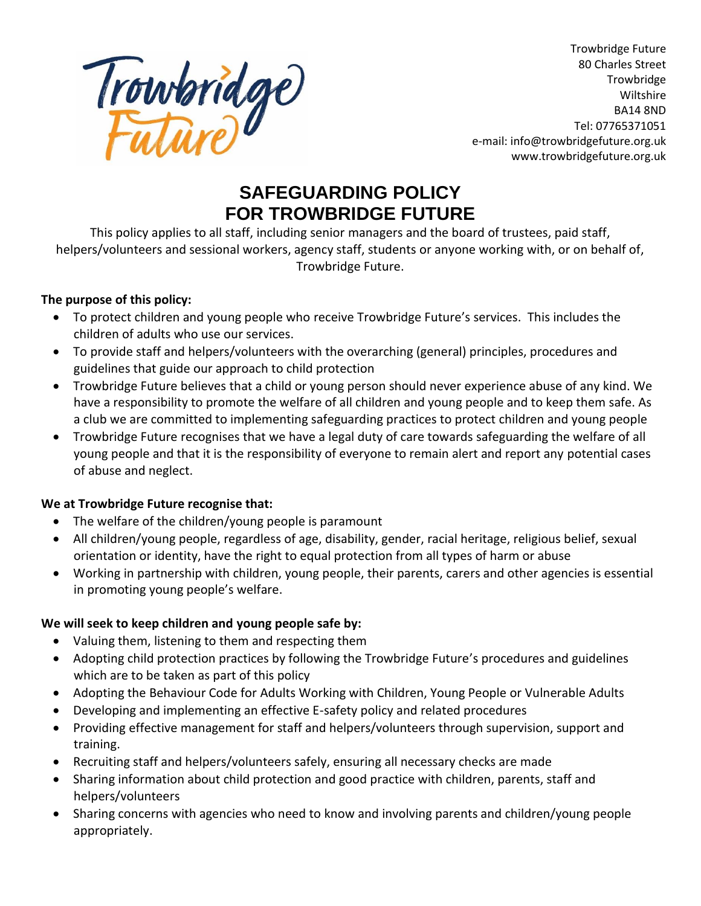

Trowbridge Future 80 Charles Street **Trowbridge** Wiltshire BA14 8ND Tel: 07765371051 e-mail: info@trowbridgefuture.org.uk www.trowbridgefuture.org.uk

# **SAFEGUARDING POLICY FOR TROWBRIDGE FUTURE**

This policy applies to all staff, including senior managers and the board of trustees, paid staff, helpers/volunteers and sessional workers, agency staff, students or anyone working with, or on behalf of, Trowbridge Future.

#### **The purpose of this policy:**

- To protect children and young people who receive Trowbridge Future's services. This includes the children of adults who use our services.
- To provide staff and helpers/volunteers with the overarching (general) principles, procedures and guidelines that guide our approach to child protection
- Trowbridge Future believes that a child or young person should never experience abuse of any kind. We have a responsibility to promote the welfare of all children and young people and to keep them safe. As a club we are committed to implementing safeguarding practices to protect children and young people
- Trowbridge Future recognises that we have a legal duty of care towards safeguarding the welfare of all young people and that it is the responsibility of everyone to remain alert and report any potential cases of abuse and neglect.

## **We at Trowbridge Future recognise that:**

- The welfare of the children/young people is paramount
- All children/young people, regardless of age, disability, gender, racial heritage, religious belief, sexual orientation or identity, have the right to equal protection from all types of harm or abuse
- Working in partnership with children, young people, their parents, carers and other agencies is essential in promoting young people's welfare.

## **We will seek to keep children and young people safe by:**

- Valuing them, listening to them and respecting them
- Adopting child protection practices by following the Trowbridge Future's procedures and guidelines which are to be taken as part of this policy
- Adopting the Behaviour Code for Adults Working with Children, Young People or Vulnerable Adults
- Developing and implementing an effective E-safety policy and related procedures
- Providing effective management for staff and helpers/volunteers through supervision, support and training.
- Recruiting staff and helpers/volunteers safely, ensuring all necessary checks are made
- Sharing information about child protection and good practice with children, parents, staff and helpers/volunteers
- Sharing concerns with agencies who need to know and involving parents and children/young people appropriately.